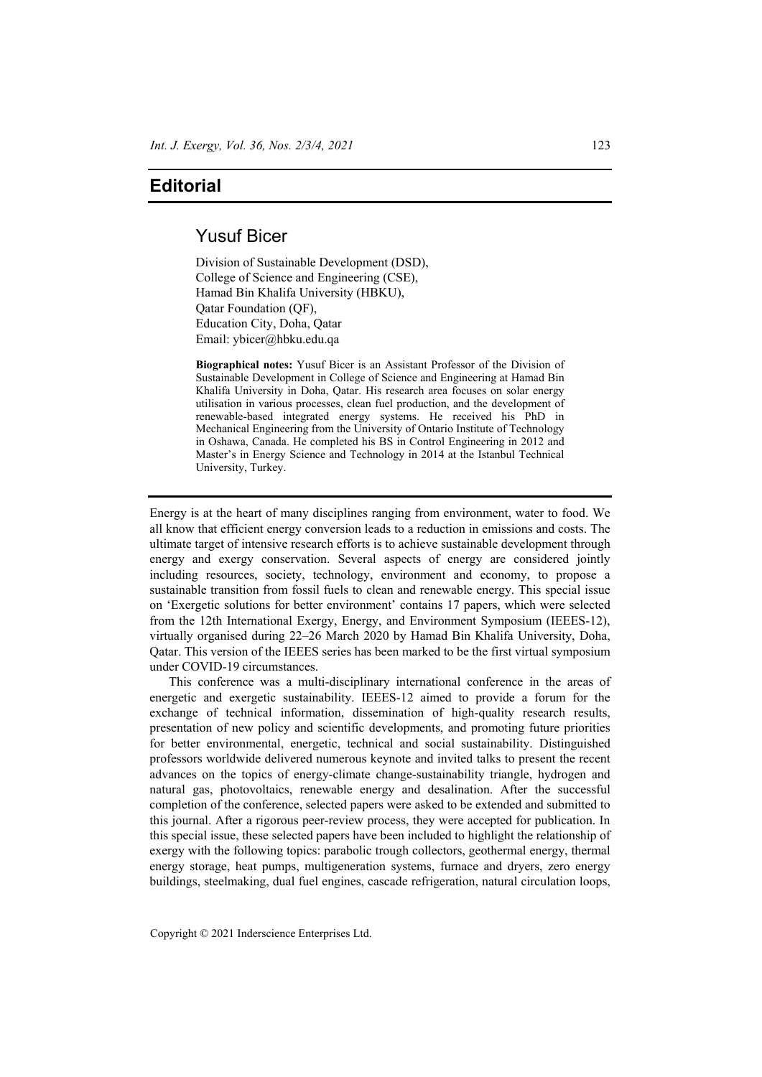## **Editorial**

## Yusuf Bicer

Division of Sustainable Development (DSD), College of Science and Engineering (CSE), Hamad Bin Khalifa University (HBKU), Qatar Foundation (QF), Education City, Doha, Qatar Email: ybicer@hbku.edu.qa

**Biographical notes:** Yusuf Bicer is an Assistant Professor of the Division of Sustainable Development in College of Science and Engineering at Hamad Bin Khalifa University in Doha, Qatar. His research area focuses on solar energy utilisation in various processes, clean fuel production, and the development of renewable-based integrated energy systems. He received his PhD in Mechanical Engineering from the University of Ontario Institute of Technology in Oshawa, Canada. He completed his BS in Control Engineering in 2012 and Master's in Energy Science and Technology in 2014 at the Istanbul Technical University, Turkey.

Energy is at the heart of many disciplines ranging from environment, water to food. We all know that efficient energy conversion leads to a reduction in emissions and costs. The ultimate target of intensive research efforts is to achieve sustainable development through energy and exergy conservation. Several aspects of energy are considered jointly including resources, society, technology, environment and economy, to propose a sustainable transition from fossil fuels to clean and renewable energy. This special issue on 'Exergetic solutions for better environment' contains 17 papers, which were selected from the 12th International Exergy, Energy, and Environment Symposium (IEEES-12), virtually organised during 22–26 March 2020 by Hamad Bin Khalifa University, Doha, Qatar. This version of the IEEES series has been marked to be the first virtual symposium under COVID-19 circumstances.

This conference was a multi-disciplinary international conference in the areas of energetic and exergetic sustainability. IEEES-12 aimed to provide a forum for the exchange of technical information, dissemination of high-quality research results, presentation of new policy and scientific developments, and promoting future priorities for better environmental, energetic, technical and social sustainability. Distinguished professors worldwide delivered numerous keynote and invited talks to present the recent advances on the topics of energy-climate change-sustainability triangle, hydrogen and natural gas, photovoltaics, renewable energy and desalination. After the successful completion of the conference, selected papers were asked to be extended and submitted to this journal. After a rigorous peer-review process, they were accepted for publication. In this special issue, these selected papers have been included to highlight the relationship of exergy with the following topics: parabolic trough collectors, geothermal energy, thermal energy storage, heat pumps, multigeneration systems, furnace and dryers, zero energy buildings, steelmaking, dual fuel engines, cascade refrigeration, natural circulation loops,